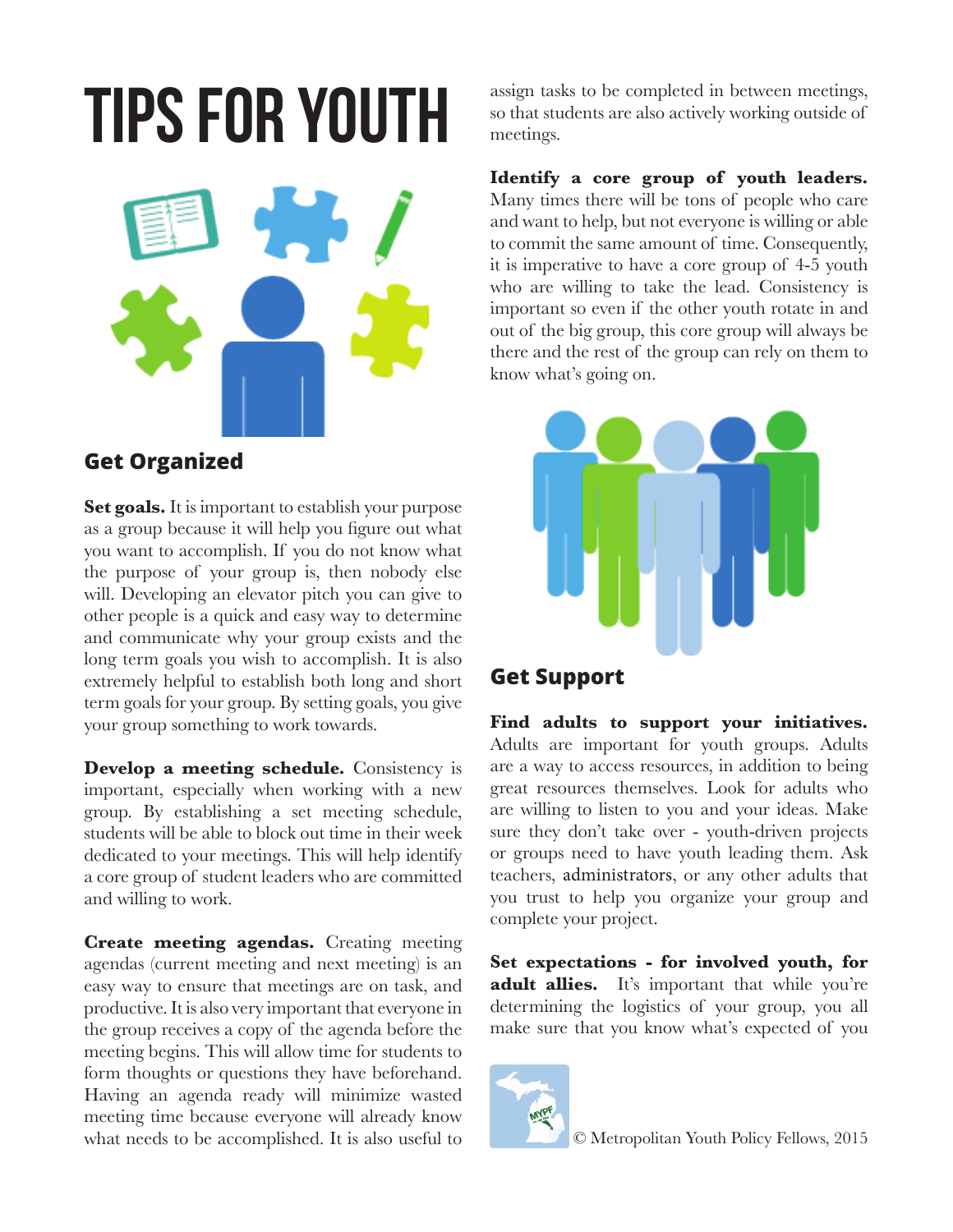## **Tips for Youth**



## **Get Organized**

**Set goals.** It is important to establish your purpose as a group because it will help you figure out what you want to accomplish. If you do not know what the purpose of your group is, then nobody else will. Developing an elevator pitch you can give to other people is a quick and easy way to determine and communicate why your group exists and the long term goals you wish to accomplish. It is also extremely helpful to establish both long and short term goals for your group. By setting goals, you give your group something to work towards.

**Develop a meeting schedule.** Consistency is important, especially when working with a new group. By establishing a set meeting schedule, students will be able to block out time in their week dedicated to your meetings. This will help identify a core group of student leaders who are committed and willing to work.

**Create meeting agendas.** Creating meeting agendas (current meeting and next meeting) is an easy way to ensure that meetings are on task, and productive. It is also very important that everyone in the group receives a copy of the agenda before the meeting begins. This will allow time for students to form thoughts or questions they have beforehand. Having an agenda ready will minimize wasted meeting time because everyone will already know what needs to be accomplished. It is also useful to

assign tasks to be completed in between meetings, so that students are also actively working outside of meetings.

**Identify a core group of youth leaders.**  Many times there will be tons of people who care and want to help, but not everyone is willing or able to commit the same amount of time. Consequently, it is imperative to have a core group of 4-5 youth who are willing to take the lead. Consistency is important so even if the other youth rotate in and out of the big group, this core group will always be there and the rest of the group can rely on them to know what's going on.



## **Get Support**

**Find adults to support your initiatives.** Adults are important for youth groups. Adults are a way to access resources, in addition to being great resources themselves. Look for adults who are willing to listen to you and your ideas. Make sure they don't take over - youth-driven projects or groups need to have youth leading them. Ask teachers, administrators, or any other adults that you trust to help you organize your group and complete your project.

**Set expectations - for involved youth, for**  adult allies. It's important that while you're determining the logistics of your group, you all make sure that you know what's expected of you